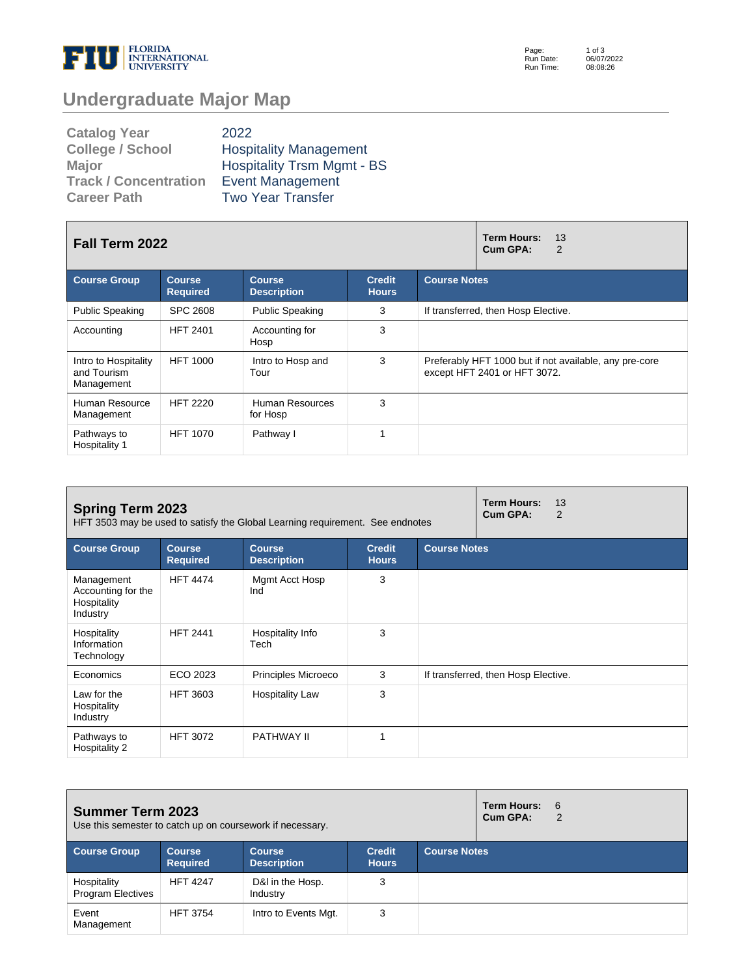

Page: Run Date: Run Time: 1 of 3 06/07/2022 08:08:26

## **Undergraduate Major Map**

| <b>Catalog Year</b>          | 2022                              |
|------------------------------|-----------------------------------|
| <b>College / School</b>      | <b>Hospitality Management</b>     |
| <b>Major</b>                 | <b>Hospitality Trsm Mgmt - BS</b> |
| <b>Track / Concentration</b> | <b>Event Management</b>           |
| <b>Career Path</b>           | <b>Two Year Transfer</b>          |

| Fall Term 2022                                    |                                  |                                     |                               | Term Hours:<br>13<br>Cum GPA:<br>2                                                     |
|---------------------------------------------------|----------------------------------|-------------------------------------|-------------------------------|----------------------------------------------------------------------------------------|
| <b>Course Group</b>                               | <b>Course</b><br><b>Required</b> | <b>Course</b><br><b>Description</b> | <b>Credit</b><br><b>Hours</b> | <b>Course Notes</b>                                                                    |
| <b>Public Speaking</b>                            | <b>SPC 2608</b>                  | <b>Public Speaking</b>              | 3                             | If transferred, then Hosp Elective.                                                    |
| Accounting                                        | <b>HFT 2401</b>                  | Accounting for<br>Hosp              | 3                             |                                                                                        |
| Intro to Hospitality<br>and Tourism<br>Management | <b>HFT 1000</b>                  | Intro to Hosp and<br>Tour           | 3                             | Preferably HFT 1000 but if not available, any pre-core<br>except HFT 2401 or HFT 3072. |
| Human Resource<br>Management                      | <b>HFT 2220</b>                  | Human Resources<br>for Hosp         | 3                             |                                                                                        |
| Pathways to<br>Hospitality 1                      | <b>HFT 1070</b>                  | Pathway I                           | 1                             |                                                                                        |

| <b>Spring Term 2023</b><br>HFT 3503 may be used to satisfy the Global Learning requirement. See endnotes |                                  | <b>Term Hours:</b><br>13<br>Cum GPA:<br>2 |                               |                                     |
|----------------------------------------------------------------------------------------------------------|----------------------------------|-------------------------------------------|-------------------------------|-------------------------------------|
| <b>Course Group</b>                                                                                      | <b>Course</b><br><b>Required</b> | <b>Course</b><br><b>Description</b>       | <b>Credit</b><br><b>Hours</b> | <b>Course Notes</b>                 |
| Management<br>Accounting for the<br>Hospitality<br>Industry                                              | <b>HFT 4474</b>                  | Mgmt Acct Hosp<br>Ind                     | 3                             |                                     |
| Hospitality<br>Information<br>Technology                                                                 | <b>HFT 2441</b>                  | Hospitality Info<br>Tech                  | 3                             |                                     |
| Economics                                                                                                | ECO 2023                         | Principles Microeco                       | 3                             | If transferred, then Hosp Elective. |
| Law for the<br>Hospitality<br>Industry                                                                   | <b>HFT 3603</b>                  | <b>Hospitality Law</b>                    | 3                             |                                     |
| Pathways to<br>Hospitality 2                                                                             | <b>HFT 3072</b>                  | <b>PATHWAY II</b>                         | и                             |                                     |

| <b>Summer Term 2023</b><br>Use this semester to catch up on coursework if necessary. |                                  |                                     |                               |                     | <b>Term Hours:</b><br>Cum GPA: | - 6<br>$\overline{2}$ |
|--------------------------------------------------------------------------------------|----------------------------------|-------------------------------------|-------------------------------|---------------------|--------------------------------|-----------------------|
| <b>Course Group</b>                                                                  | <b>Course</b><br><b>Required</b> | <b>Course</b><br><b>Description</b> | <b>Credit</b><br><b>Hours</b> | <b>Course Notes</b> |                                |                       |
| Hospitality<br><b>Program Electives</b>                                              | <b>HFT 4247</b>                  | D&I in the Hosp.<br>Industry        | 3                             |                     |                                |                       |
| Event<br>Management                                                                  | <b>HFT 3754</b>                  | Intro to Events Mgt.                | 3                             |                     |                                |                       |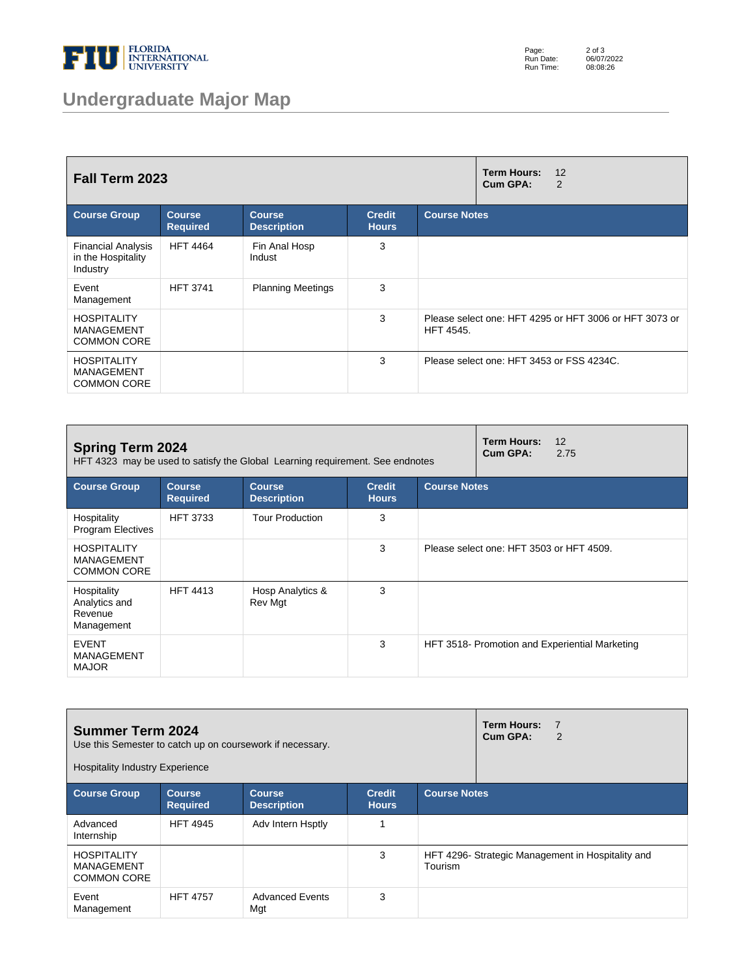

## **Undergraduate Major Map**

Page: Run Date: Run Time: 2 of 3 06/07/2022 08:08:26

| <b>Fall Term 2023</b>                                         |                                  |                                     |                               | <b>Term Hours:</b><br>12<br>Cum GPA:<br>2                                  |
|---------------------------------------------------------------|----------------------------------|-------------------------------------|-------------------------------|----------------------------------------------------------------------------|
| <b>Course Group</b>                                           | <b>Course</b><br><b>Required</b> | <b>Course</b><br><b>Description</b> | <b>Credit</b><br><b>Hours</b> | <b>Course Notes</b>                                                        |
| <b>Financial Analysis</b><br>in the Hospitality<br>Industry   | <b>HFT 4464</b>                  | Fin Anal Hosp<br>Indust             | 3                             |                                                                            |
| Event<br>Management                                           | <b>HFT 3741</b>                  | <b>Planning Meetings</b>            | 3                             |                                                                            |
| <b>HOSPITALITY</b><br><b>MANAGEMENT</b><br><b>COMMON CORE</b> |                                  |                                     | 3                             | Please select one: HFT 4295 or HFT 3006 or HFT 3073 or<br><b>HFT 4545.</b> |
| <b>HOSPITALITY</b><br><b>MANAGEMENT</b><br><b>COMMON CORE</b> |                                  |                                     | 3                             | Please select one: HFT 3453 or FSS 4234C.                                  |

| <b>Spring Term 2024</b><br>HFT 4323 may be used to satisfy the Global Learning requirement. See endnotes |                                  |                                     |                               |                     | <b>Term Hours:</b><br>Cum GPA:           | 12<br>2.75                                     |
|----------------------------------------------------------------------------------------------------------|----------------------------------|-------------------------------------|-------------------------------|---------------------|------------------------------------------|------------------------------------------------|
| <b>Course Group</b>                                                                                      | <b>Course</b><br><b>Required</b> | <b>Course</b><br><b>Description</b> | <b>Credit</b><br><b>Hours</b> | <b>Course Notes</b> |                                          |                                                |
| Hospitality<br>Program Electives                                                                         | <b>HFT 3733</b>                  | <b>Tour Production</b>              | 3                             |                     |                                          |                                                |
| <b>HOSPITALITY</b><br><b>MANAGEMENT</b><br><b>COMMON CORE</b>                                            |                                  |                                     | 3                             |                     | Please select one: HFT 3503 or HFT 4509. |                                                |
| Hospitality<br>Analytics and<br>Revenue<br>Management                                                    | <b>HFT 4413</b>                  | Hosp Analytics &<br>Rev Mgt         | 3                             |                     |                                          |                                                |
| <b>EVENT</b><br><b>MANAGEMENT</b><br><b>MAJOR</b>                                                        |                                  |                                     | 3                             |                     |                                          | HFT 3518- Promotion and Experiential Marketing |

| <b>Summer Term 2024</b><br>Use this Semester to catch up on coursework if necessary.<br><b>Hospitality Industry Experience</b> |                                  |                                     |                               |                     | <b>Term Hours:</b><br>7<br>Cum GPA:<br>2          |
|--------------------------------------------------------------------------------------------------------------------------------|----------------------------------|-------------------------------------|-------------------------------|---------------------|---------------------------------------------------|
| <b>Course Group</b>                                                                                                            | <b>Course</b><br><b>Required</b> | <b>Course</b><br><b>Description</b> | <b>Credit</b><br><b>Hours</b> | <b>Course Notes</b> |                                                   |
| Advanced<br>Internship                                                                                                         | <b>HFT 4945</b>                  | Adv Intern Hsptly                   |                               |                     |                                                   |
| <b>HOSPITALITY</b><br>MANAGEMENT<br><b>COMMON CORE</b>                                                                         |                                  |                                     | 3                             | Tourism             | HFT 4296- Strategic Management in Hospitality and |
| Event<br>Management                                                                                                            | <b>HFT 4757</b>                  | <b>Advanced Events</b><br>Mgt       | 3                             |                     |                                                   |